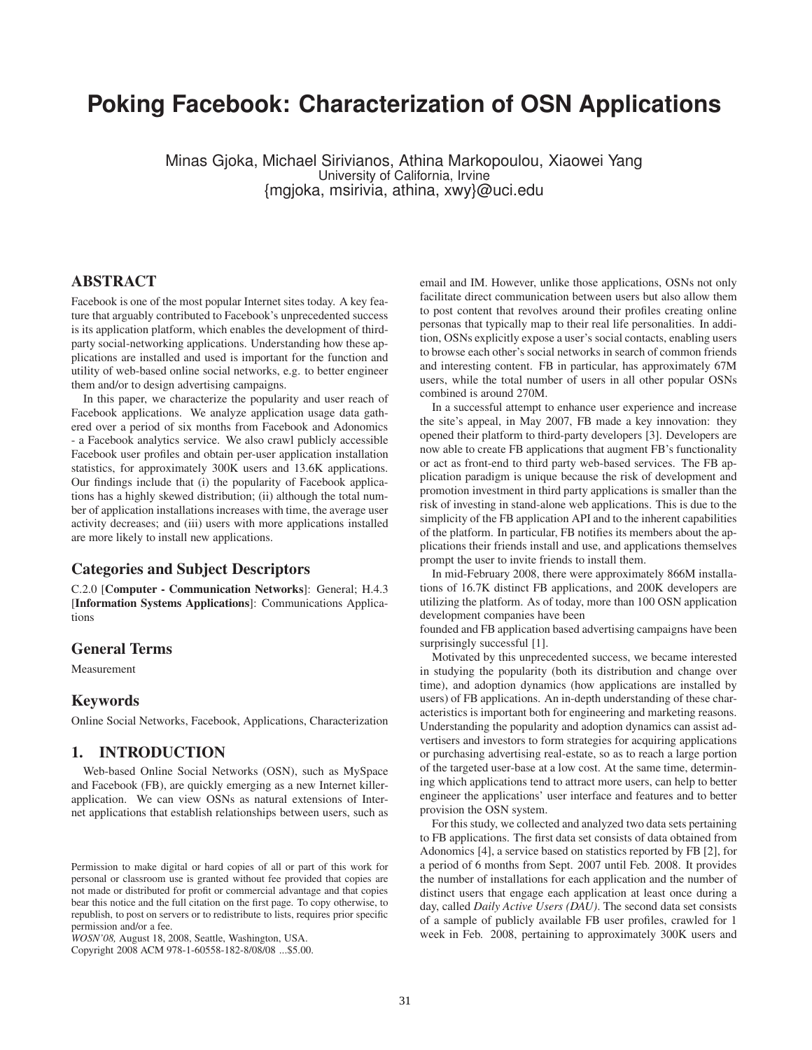# **Poking Facebook: Characterization of OSN Applications**

Minas Gjoka, Michael Sirivianos, Athina Markopoulou, Xiaowei Yang University of California, Irvine {mgjoka, msirivia, athina, xwy}@uci.edu

## **ABSTRACT**

Facebook is one of the most popular Internet sites today. A key feature that arguably contributed to Facebook's unprecedented success is its application platform, which enables the development of thirdparty social-networking applications. Understanding how these applications are installed and used is important for the function and utility of web-based online social networks, e.g. to better engineer them and/or to design advertising campaigns.

In this paper, we characterize the popularity and user reach of Facebook applications. We analyze application usage data gathered over a period of six months from Facebook and Adonomics - a Facebook analytics service. We also crawl publicly accessible Facebook user profiles and obtain per-user application installation statistics, for approximately 300K users and 13.6K applications. Our findings include that (i) the popularity of Facebook applications has a highly skewed distribution; (ii) although the total number of application installations increases with time, the average user activity decreases; and (iii) users with more applications installed are more likely to install new applications.

## **Categories and Subject Descriptors**

C.2.0 [**Computer - Communication Networks**]: General; H.4.3 [**Information Systems Applications**]: Communications Applications

## **General Terms**

Measurement

## **Keywords**

Online Social Networks, Facebook, Applications, Characterization

## **1. INTRODUCTION**

Web-based Online Social Networks (OSN), such as MySpace and Facebook (FB), are quickly emerging as a new Internet killerapplication. We can view OSNs as natural extensions of Internet applications that establish relationships between users, such as

Copyright 2008 ACM 978-1-60558-182-8/08/08 ...\$5.00.

email and IM. However, unlike those applications, OSNs not only facilitate direct communication between users but also allow them to post content that revolves around their profiles creating online personas that typically map to their real life personalities. In addition, OSNs explicitly expose a user's social contacts, enabling users to browse each other's social networks in search of common friends and interesting content. FB in particular, has approximately 67M users, while the total number of users in all other popular OSNs combined is around 270M.

In a successful attempt to enhance user experience and increase the site's appeal, in May 2007, FB made a key innovation: they opened their platform to third-party developers [3]. Developers are now able to create FB applications that augment FB's functionality or act as front-end to third party web-based services. The FB application paradigm is unique because the risk of development and promotion investment in third party applications is smaller than the risk of investing in stand-alone web applications. This is due to the simplicity of the FB application API and to the inherent capabilities of the platform. In particular, FB notifies its members about the applications their friends install and use, and applications themselves prompt the user to invite friends to install them.

In mid-February 2008, there were approximately 866M installations of 16.7K distinct FB applications, and 200K developers are utilizing the platform. As of today, more than 100 OSN application development companies have been

founded and FB application based advertising campaigns have been surprisingly successful [1].

Motivated by this unprecedented success, we became interested in studying the popularity (both its distribution and change over time), and adoption dynamics (how applications are installed by users) of FB applications. An in-depth understanding of these characteristics is important both for engineering and marketing reasons. Understanding the popularity and adoption dynamics can assist advertisers and investors to form strategies for acquiring applications or purchasing advertising real-estate, so as to reach a large portion of the targeted user-base at a low cost. At the same time, determining which applications tend to attract more users, can help to better engineer the applications' user interface and features and to better provision the OSN system.

For this study, we collected and analyzed two data sets pertaining to FB applications. The first data set consists of data obtained from Adonomics [4], a service based on statistics reported by FB [2], for a period of 6 months from Sept. 2007 until Feb. 2008. It provides the number of installations for each application and the number of distinct users that engage each application at least once during a day, called *Daily Active Users (DAU)*. The second data set consists of a sample of publicly available FB user profiles, crawled for 1 week in Feb. 2008, pertaining to approximately 300K users and

Permission to make digital or hard copies of all or part of this work for personal or classroom use is granted without fee provided that copies are not made or distributed for profit or commercial advantage and that copies bear this notice and the full citation on the first page. To copy otherwise, to republish, to post on servers or to redistribute to lists, requires prior specific permission and/or a fee.

*WOSN'08,* August 18, 2008, Seattle, Washington, USA.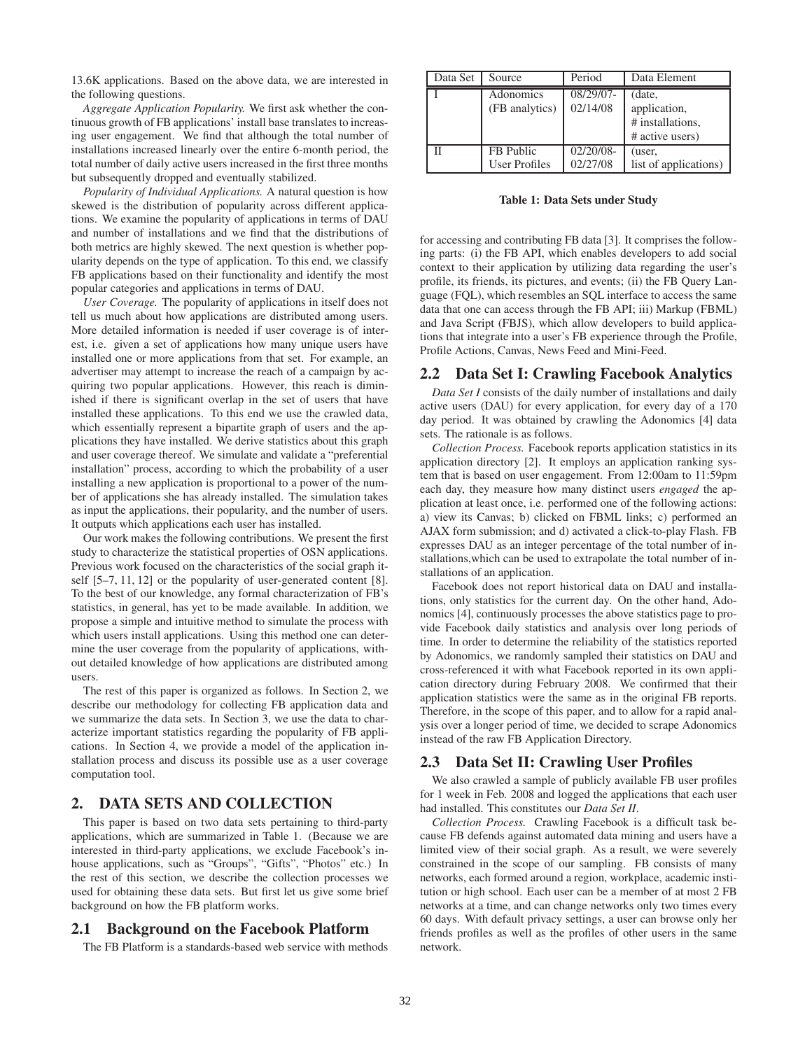13.6K applications. Based on the above data, we are interested in the following questions.

*Aggregate Application Popularity.* We first ask whether the continuous growth of FB applications' install base translates to increasing user engagement. We find that although the total number of installations increased linearly over the entire 6-month period, the total number of daily active users increased in the first three months but subsequently dropped and eventually stabilized.

*Popularity of Individual Applications.* A natural question is how skewed is the distribution of popularity across different applications. We examine the popularity of applications in terms of DAU and number of installations and we find that the distributions of both metrics are highly skewed. The next question is whether popularity depends on the type of application. To this end, we classify FB applications based on their functionality and identify the most popular categories and applications in terms of DAU.

*User Coverage.* The popularity of applications in itself does not tell us much about how applications are distributed among users. More detailed information is needed if user coverage is of interest, i.e. given a set of applications how many unique users have installed one or more applications from that set. For example, an advertiser may attempt to increase the reach of a campaign by acquiring two popular applications. However, this reach is diminished if there is significant overlap in the set of users that have installed these applications. To this end we use the crawled data, which essentially represent a bipartite graph of users and the applications they have installed. We derive statistics about this graph and user coverage thereof. We simulate and validate a "preferential installation" process, according to which the probability of a user installing a new application is proportional to a power of the number of applications she has already installed. The simulation takes as input the applications, their popularity, and the number of users. It outputs which applications each user has installed.

Our work makes the following contributions. We present the first study to characterize the statistical properties of OSN applications. Previous work focused on the characteristics of the social graph itself [5–7, 11, 12] or the popularity of user-generated content [8]. To the best of our knowledge, any formal characterization of FB's statistics, in general, has yet to be made available. In addition, we propose a simple and intuitive method to simulate the process with which users install applications. Using this method one can determine the user coverage from the popularity of applications, without detailed knowledge of how applications are distributed among users.

The rest of this paper is organized as follows. In Section 2, we describe our methodology for collecting FB application data and we summarize the data sets. In Section 3, we use the data to characterize important statistics regarding the popularity of FB applications. In Section 4, we provide a model of the application installation process and discuss its possible use as a user coverage computation tool.

## **2. DATA SETS AND COLLECTION**

This paper is based on two data sets pertaining to third-party applications, which are summarized in Table 1. (Because we are interested in third-party applications, we exclude Facebook's inhouse applications, such as "Groups", "Gifts", "Photos" etc.) In the rest of this section, we describe the collection processes we used for obtaining these data sets. But first let us give some brief background on how the FB platform works.

## **2.1 Background on the Facebook Platform**

The FB Platform is a standards-based web service with methods

| Data Set | Source               | Period    | Data Element          |
|----------|----------------------|-----------|-----------------------|
|          | Adonomics            | 08/29/07- | (date,                |
|          | (FB analytics)       | 02/14/08  | application,          |
|          |                      |           | # installations.      |
|          |                      |           | # active users)       |
|          | FB Public            | 02/20/08- | (user,                |
|          | <b>User Profiles</b> | 02/27/08  | list of applications) |

**Table 1: Data Sets under Study**

for accessing and contributing FB data [3]. It comprises the following parts: (i) the FB API, which enables developers to add social context to their application by utilizing data regarding the user's profile, its friends, its pictures, and events; (ii) the FB Query Language (FQL), which resembles an SQL interface to access the same data that one can access through the FB API; iii) Markup (FBML) and Java Script (FBJS), which allow developers to build applications that integrate into a user's FB experience through the Profile, Profile Actions, Canvas, News Feed and Mini-Feed.

#### **2.2 Data Set I: Crawling Facebook Analytics**

*Data Set I* consists of the daily number of installations and daily active users (DAU) for every application, for every day of a 170 day period. It was obtained by crawling the Adonomics [4] data sets. The rationale is as follows.

*Collection Process.* Facebook reports application statistics in its application directory [2]. It employs an application ranking system that is based on user engagement. From 12:00am to 11:59pm each day, they measure how many distinct users *engaged* the application at least once, i.e. performed one of the following actions: a) view its Canvas; b) clicked on FBML links; c) performed an AJAX form submission; and d) activated a click-to-play Flash. FB expresses DAU as an integer percentage of the total number of installations,which can be used to extrapolate the total number of installations of an application.

Facebook does not report historical data on DAU and installations, only statistics for the current day. On the other hand, Adonomics [4], continuously processes the above statistics page to provide Facebook daily statistics and analysis over long periods of time. In order to determine the reliability of the statistics reported by Adonomics, we randomly sampled their statistics on DAU and cross-referenced it with what Facebook reported in its own application directory during February 2008. We confirmed that their application statistics were the same as in the original FB reports. Therefore, in the scope of this paper, and to allow for a rapid analysis over a longer period of time, we decided to scrape Adonomics instead of the raw FB Application Directory.

#### **2.3 Data Set II: Crawling User Profiles**

We also crawled a sample of publicly available FB user profiles for 1 week in Feb. 2008 and logged the applications that each user had installed. This constitutes our *Data Set II*.

*Collection Process.* Crawling Facebook is a difficult task because FB defends against automated data mining and users have a limited view of their social graph. As a result, we were severely constrained in the scope of our sampling. FB consists of many networks, each formed around a region, workplace, academic institution or high school. Each user can be a member of at most 2 FB networks at a time, and can change networks only two times every 60 days. With default privacy settings, a user can browse only her friends profiles as well as the profiles of other users in the same network.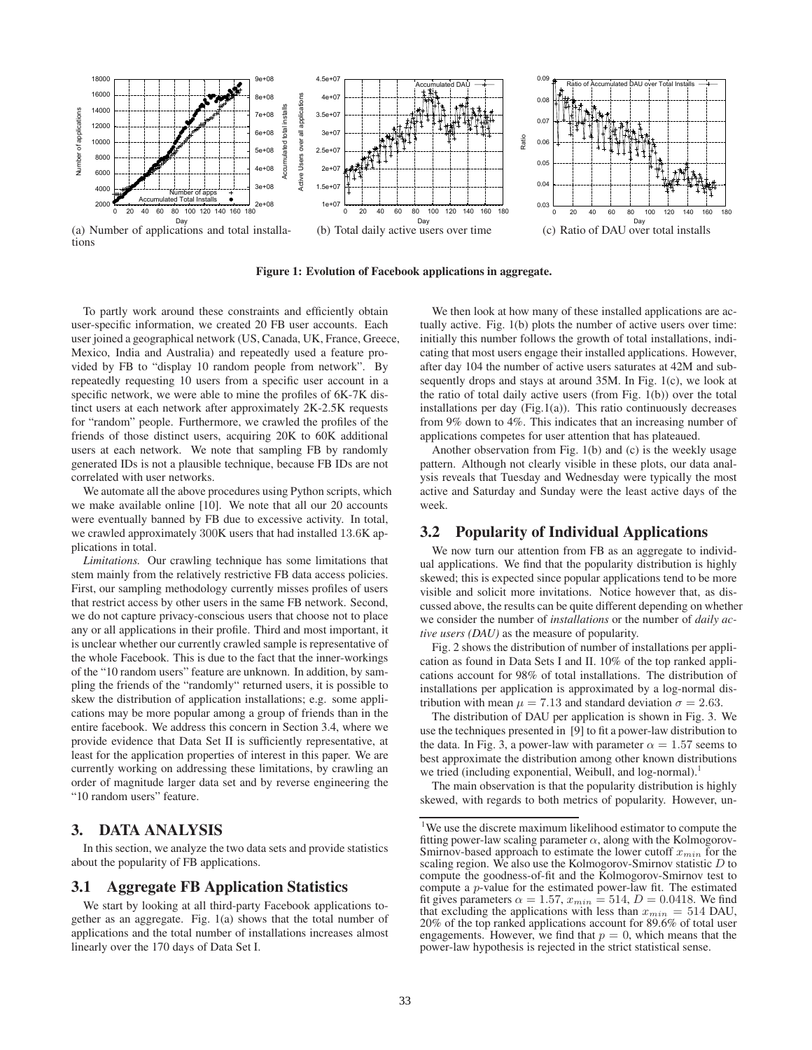

**Figure 1: Evolution of Facebook applications in aggregate.**

To partly work around these constraints and efficiently obtain user-specific information, we created 20 FB user accounts. Each user joined a geographical network (US, Canada, UK, France, Greece, Mexico, India and Australia) and repeatedly used a feature provided by FB to "display 10 random people from network". By repeatedly requesting 10 users from a specific user account in a specific network, we were able to mine the profiles of 6K-7K distinct users at each network after approximately 2K-2.5K requests for "random" people. Furthermore, we crawled the profiles of the friends of those distinct users, acquiring 20K to 60K additional users at each network. We note that sampling FB by randomly generated IDs is not a plausible technique, because FB IDs are not correlated with user networks.

We automate all the above procedures using Python scripts, which we make available online [10]. We note that all our 20 accounts were eventually banned by FB due to excessive activity. In total, we crawled approximately 300K users that had installed 13.6K applications in total.

*Limitations.* Our crawling technique has some limitations that stem mainly from the relatively restrictive FB data access policies. First, our sampling methodology currently misses profiles of users that restrict access by other users in the same FB network. Second, we do not capture privacy-conscious users that choose not to place any or all applications in their profile. Third and most important, it is unclear whether our currently crawled sample is representative of the whole Facebook. This is due to the fact that the inner-workings of the "10 random users" feature are unknown. In addition, by sampling the friends of the "randomly" returned users, it is possible to skew the distribution of application installations; e.g. some applications may be more popular among a group of friends than in the entire facebook. We address this concern in Section 3.4, where we provide evidence that Data Set II is sufficiently representative, at least for the application properties of interest in this paper. We are currently working on addressing these limitations, by crawling an order of magnitude larger data set and by reverse engineering the "10 random users" feature.

## **3. DATA ANALYSIS**

In this section, we analyze the two data sets and provide statistics about the popularity of FB applications.

#### **3.1 Aggregate FB Application Statistics**

We start by looking at all third-party Facebook applications together as an aggregate. Fig. 1(a) shows that the total number of applications and the total number of installations increases almost linearly over the 170 days of Data Set I.

We then look at how many of these installed applications are actually active. Fig. 1(b) plots the number of active users over time: initially this number follows the growth of total installations, indicating that most users engage their installed applications. However, after day 104 the number of active users saturates at 42M and subsequently drops and stays at around 35M. In Fig. 1(c), we look at the ratio of total daily active users (from Fig. 1(b)) over the total installations per day (Fig.1(a)). This ratio continuously decreases from 9% down to 4%. This indicates that an increasing number of applications competes for user attention that has plateaued.

Another observation from Fig. 1(b) and (c) is the weekly usage pattern. Although not clearly visible in these plots, our data analysis reveals that Tuesday and Wednesday were typically the most active and Saturday and Sunday were the least active days of the week.

## **3.2 Popularity of Individual Applications**

We now turn our attention from FB as an aggregate to individual applications. We find that the popularity distribution is highly skewed; this is expected since popular applications tend to be more visible and solicit more invitations. Notice however that, as discussed above, the results can be quite different depending on whether we consider the number of *installations* or the number of *daily active users (DAU)* as the measure of popularity.

Fig. 2 shows the distribution of number of installations per application as found in Data Sets I and II. 10% of the top ranked applications account for 98% of total installations. The distribution of installations per application is approximated by a log-normal distribution with mean  $\mu = 7.13$  and standard deviation  $\sigma = 2.63$ .

The distribution of DAU per application is shown in Fig. 3. We use the techniques presented in [9] to fit a power-law distribution to the data. In Fig. 3, a power-law with parameter  $\alpha = 1.57$  seems to best approximate the distribution among other known distributions we tried (including exponential, Weibull, and log-normal).<sup>1</sup>

The main observation is that the popularity distribution is highly skewed, with regards to both metrics of popularity. However, un-

<sup>&</sup>lt;sup>1</sup>We use the discrete maximum likelihood estimator to compute the fitting power-law scaling parameter  $\alpha$ , along with the Kolmogorov-Smirnov-based approach to estimate the lower cutoff  $x_{min}$  for the scaling region. We also use the Kolmogorov-Smirnov statistic D to compute the goodness-of-fit and the Kolmogorov-Smirnov test to compute a p-value for the estimated power-law fit. The estimated fit gives parameters  $\alpha = 1.57$ ,  $x_{min} = 514$ ,  $D = 0.0418$ . We find that excluding the applications with less than  $x_{min} = 514$  DAU, 20% of the top ranked applications account for 89.6% of total user engagements. However, we find that  $p = 0$ , which means that the power-law hypothesis is rejected in the strict statistical sense.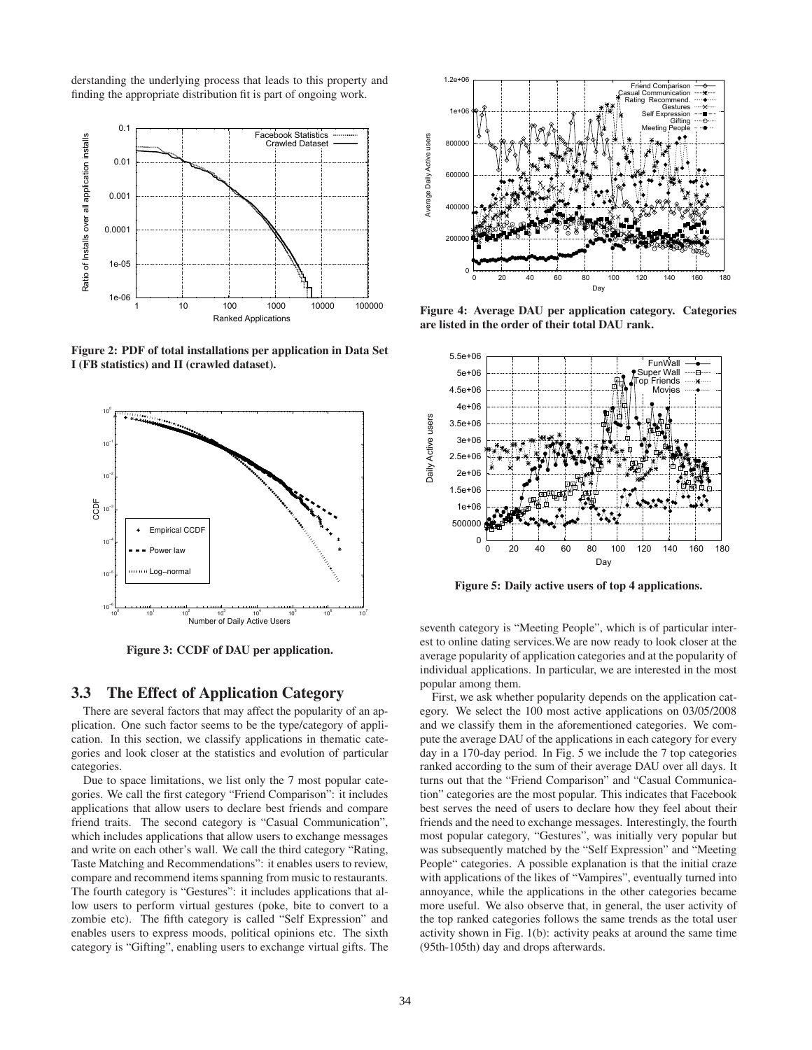derstanding the underlying process that leads to this property and finding the appropriate distribution fit is part of ongoing work.



**Figure 2: PDF of total installations per application in Data Set I (FB statistics) and II (crawled dataset).**



**Figure 3: CCDF of DAU per application.**

#### **3.3 The Effect of Application Category**

There are several factors that may affect the popularity of an application. One such factor seems to be the type/category of application. In this section, we classify applications in thematic categories and look closer at the statistics and evolution of particular categories.

Due to space limitations, we list only the 7 most popular categories. We call the first category "Friend Comparison": it includes applications that allow users to declare best friends and compare friend traits. The second category is "Casual Communication", which includes applications that allow users to exchange messages and write on each other's wall. We call the third category "Rating, Taste Matching and Recommendations": it enables users to review, compare and recommend items spanning from music to restaurants. The fourth category is "Gestures": it includes applications that allow users to perform virtual gestures (poke, bite to convert to a zombie etc). The fifth category is called "Self Expression" and enables users to express moods, political opinions etc. The sixth category is "Gifting", enabling users to exchange virtual gifts. The



**Figure 4: Average DAU per application category. Categories are listed in the order of their total DAU rank.**



**Figure 5: Daily active users of top 4 applications.**

seventh category is "Meeting People", which is of particular interest to online dating services.We are now ready to look closer at the average popularity of application categories and at the popularity of individual applications. In particular, we are interested in the most popular among them.

First, we ask whether popularity depends on the application category. We select the 100 most active applications on 03/05/2008 and we classify them in the aforementioned categories. We compute the average DAU of the applications in each category for every day in a 170-day period. In Fig. 5 we include the 7 top categories ranked according to the sum of their average DAU over all days. It turns out that the "Friend Comparison" and "Casual Communication" categories are the most popular. This indicates that Facebook best serves the need of users to declare how they feel about their friends and the need to exchange messages. Interestingly, the fourth most popular category, "Gestures", was initially very popular but was subsequently matched by the "Self Expression" and "Meeting People" categories. A possible explanation is that the initial craze with applications of the likes of "Vampires", eventually turned into annoyance, while the applications in the other categories became more useful. We also observe that, in general, the user activity of the top ranked categories follows the same trends as the total user activity shown in Fig. 1(b): activity peaks at around the same time (95th-105th) day and drops afterwards.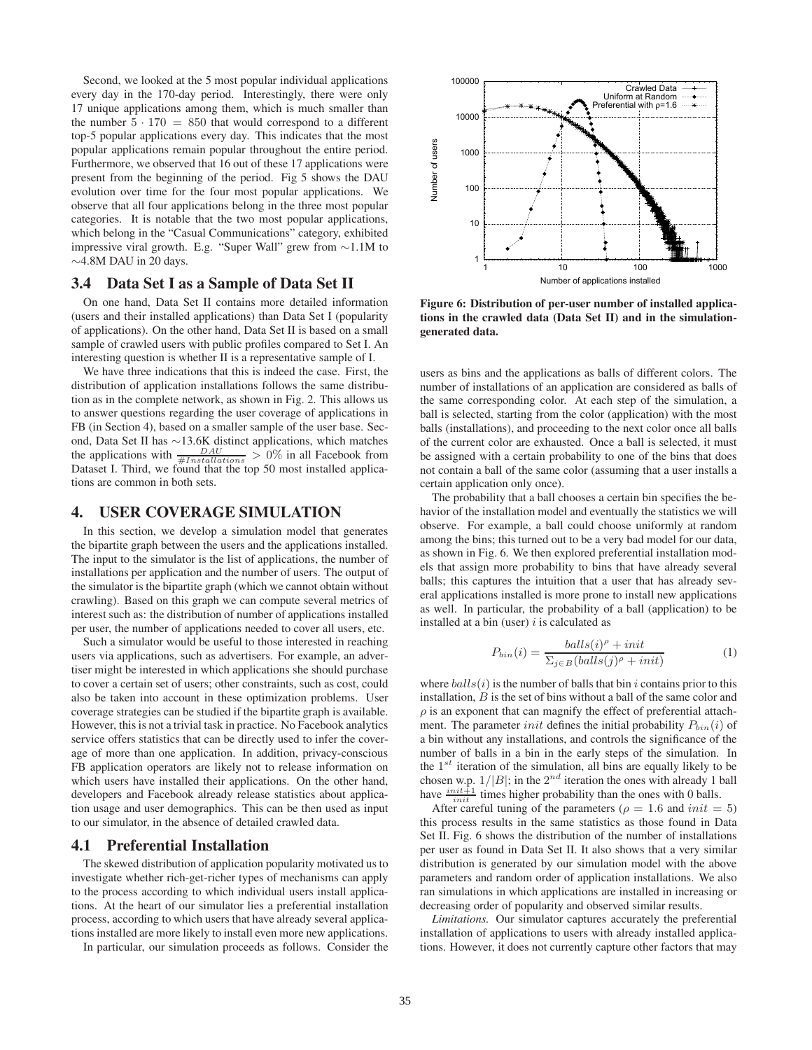Second, we looked at the 5 most popular individual applications every day in the 170-day period. Interestingly, there were only 17 unique applications among them, which is much smaller than the number  $5 \cdot 170 = 850$  that would correspond to a different top-5 popular applications every day. This indicates that the most popular applications remain popular throughout the entire period. Furthermore, we observed that 16 out of these 17 applications were present from the beginning of the period. Fig 5 shows the DAU evolution over time for the four most popular applications. We observe that all four applications belong in the three most popular categories. It is notable that the two most popular applications, which belong in the "Casual Communications" category, exhibited impressive viral growth. E.g. "Super Wall" grew from ∼1.1M to ∼4.8M DAU in 20 days.

## **3.4 Data Set I as a Sample of Data Set II**

On one hand, Data Set II contains more detailed information (users and their installed applications) than Data Set I (popularity of applications). On the other hand, Data Set II is based on a small sample of crawled users with public profiles compared to Set I. An interesting question is whether II is a representative sample of I.

We have three indications that this is indeed the case. First, the distribution of application installations follows the same distribution as in the complete network, as shown in Fig. 2. This allows us to answer questions regarding the user coverage of applications in FB (in Section 4), based on a smaller sample of the user base. Second, Data Set II has ∼13.6K distinct applications, which matches the applications with  $\frac{DAU}{\#Instantations} > 0\%$  in all Facebook from Dataset I. Third, we found that the top 50 most installed applications are common in both sets.

## **4. USER COVERAGE SIMULATION**

In this section, we develop a simulation model that generates the bipartite graph between the users and the applications installed. The input to the simulator is the list of applications, the number of installations per application and the number of users. The output of the simulator is the bipartite graph (which we cannot obtain without crawling). Based on this graph we can compute several metrics of interest such as: the distribution of number of applications installed per user, the number of applications needed to cover all users, etc.

Such a simulator would be useful to those interested in reaching users via applications, such as advertisers. For example, an advertiser might be interested in which applications she should purchase to cover a certain set of users; other constraints, such as cost, could also be taken into account in these optimization problems. User coverage strategies can be studied if the bipartite graph is available. However, this is not a trivial task in practice. No Facebook analytics service offers statistics that can be directly used to infer the coverage of more than one application. In addition, privacy-conscious FB application operators are likely not to release information on which users have installed their applications. On the other hand, developers and Facebook already release statistics about application usage and user demographics. This can be then used as input to our simulator, in the absence of detailed crawled data.

## **4.1 Preferential Installation**

The skewed distribution of application popularity motivated us to investigate whether rich-get-richer types of mechanisms can apply to the process according to which individual users install applications. At the heart of our simulator lies a preferential installation process, according to which users that have already several applications installed are more likely to install even more new applications.

In particular, our simulation proceeds as follows. Consider the



**Figure 6: Distribution of per-user number of installed applications in the crawled data (Data Set II) and in the simulationgenerated data.**

users as bins and the applications as balls of different colors. The number of installations of an application are considered as balls of the same corresponding color. At each step of the simulation, a ball is selected, starting from the color (application) with the most balls (installations), and proceeding to the next color once all balls of the current color are exhausted. Once a ball is selected, it must be assigned with a certain probability to one of the bins that does not contain a ball of the same color (assuming that a user installs a certain application only once).

The probability that a ball chooses a certain bin specifies the behavior of the installation model and eventually the statistics we will observe. For example, a ball could choose uniformly at random among the bins; this turned out to be a very bad model for our data, as shown in Fig. 6. We then explored preferential installation models that assign more probability to bins that have already several balls; this captures the intuition that a user that has already several applications installed is more prone to install new applications as well. In particular, the probability of a ball (application) to be installed at a bin (user)  $i$  is calculated as

$$
P_{bin}(i) = \frac{balls(i)^{\rho} + init}{\sum_{j \in B}(balls(j)^{\rho} + init)} \tag{1}
$$

where  $balls(i)$  is the number of balls that bin i contains prior to this installation, B is the set of bins without a ball of the same color and  $\rho$  is an exponent that can magnify the effect of preferential attachment. The parameter *init* defines the initial probability  $P_{bin}(i)$  of a bin without any installations, and controls the significance of the number of balls in a bin in the early steps of the simulation. In the  $1^{st}$  iteration of the simulation, all bins are equally likely to be chosen w.p.  $1/|B|$ ; in the  $2^{nd}$  iteration the ones with already 1 ball have  $\frac{init+1}{init}$  times higher probability than the ones with 0 balls.

After careful tuning of the parameters ( $\rho = 1.6$  and  $init = 5$ ) this process results in the same statistics as those found in Data Set II. Fig. 6 shows the distribution of the number of installations per user as found in Data Set II. It also shows that a very similar distribution is generated by our simulation model with the above parameters and random order of application installations. We also ran simulations in which applications are installed in increasing or decreasing order of popularity and observed similar results.

*Limitations.* Our simulator captures accurately the preferential installation of applications to users with already installed applications. However, it does not currently capture other factors that may